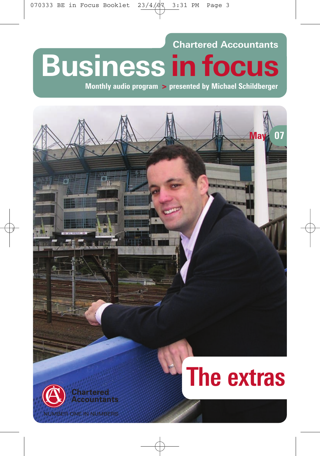# **Chartered Accountants Business in focus**

**Monthly audio program > presented by Michael Schildberger**

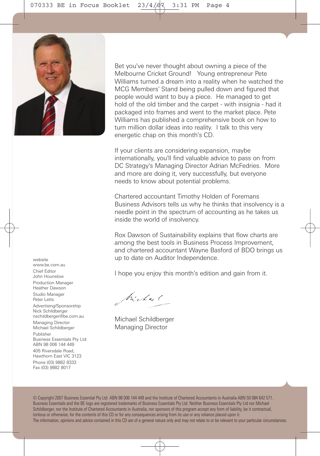Bet you've never thought about owning a piece of the Melbourne Cricket Ground! Young entrepreneur Pete Williams turned a dream into a reality when he watched the MCG Members' Stand being pulled down and figured that people would want to buy a piece. He managed to get hold of the old timber and the carpet - with insignia - had it packaged into frames and went to the market place. Pete Williams has published a comprehensive book on how to turn million dollar ideas into reality. I talk to this very energetic chap on this month's CD.

If your clients are considering expansion, maybe internationally, you'll find valuable advice to pass on from DC Strategy's Managing Director Adrian McFedries. More and more are doing it, very successfully, but everyone needs to know about potential problems.

Chartered accountant Timothy Holden of Foremans Business Advisors tells us why he thinks that insolvency is a needle point in the spectrum of accounting as he takes us inside the world of insolvency.

Rox Dawson of Sustainability explains that flow charts are among the best tools in Business Process Improvement, and chartered accountant Wayne Basford of BDO brings us up to date on Auditor Independence.

I hope you enjoy this month's edition and gain from it.

Michael

Michael Schildberger Managing Director

© Copyright 2007 Business Essential Pty Ltd ABN 98 006 144 449 and the Institute of Chartered Accountants in Australia ABN 50 084 642 571. Business Essentials and the BE logo are registered trademarks of Business Essentials Pty Ltd. Neither Business Essentials Pty Ltd nor Michael Schildberger, nor the Institute of Chartered Accountants in Australia, nor sponsors of this program accept any form of liability, be it contractual, tortious or otherwise, for the contents of this CD or for any consequences arising from its use or any reliance placed upon it. The information, opinions and advice contained in this CD are of a general nature only and may not relate to or be relevant to your particular circumstances.

www.be.com.au Chief Editor John Hounslow Production Manager Heather Dawson Studio Manager Peter Letts Advertising/Sponsorship Nick Schildberger nschildberger@be.com.au Managing Director Michael Schildberger Publisher Business Essentials Pty Ltd ABN 98 006 144 449 405 Riversdale Road, Hawthorn East VIC 3123 Phone (03) 9882 8333 Fax (03) 9882 8017

website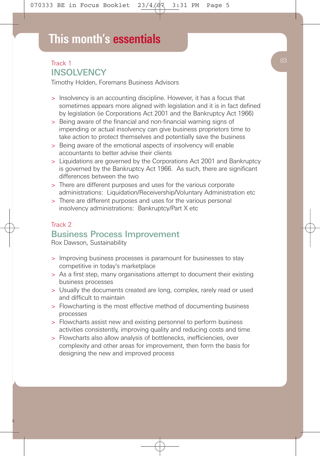### Track 1 **INSOLVENCY**

Timothy Holden, Foremans Business Advisors

- > Insolvency is an accounting discipline. However, it has a focus that sometimes appears more aligned with legislation and it is in fact defined by legislation (ie Corporations Act 2001 and the Bankruptcy Act 1966)
- > Being aware of the financial and non-financial warning signs of impending or actual insolvency can give business proprietors time to take action to protect themselves and potentially save the business
- > Being aware of the emotional aspects of insolvency will enable accountants to better advise their clients
- > Liquidations are governed by the Corporations Act 2001 and Bankruptcy is governed by the Bankruptcy Act 1966. As such, there are significant differences between the two
- > There are different purposes and uses for the various corporate administrations: Liquidation/Receivership/Voluntary Administration etc
- > There are different purposes and uses for the various personal insolvency administrations: Bankruptcy/Part X etc

### Track 2 Business Process Improvement

Rox Dawson, Sustainability

- > Improving business processes is paramount for businesses to stay competitive in today's marketplace
- > As a first step, many organisations attempt to document their existing business processes
- > Usually the documents created are long, complex, rarely read or used and difficult to maintain
- > Flowcharting is the most effective method of documenting business processes
- > Flowcharts assist new and existing personnel to perform business activities consistently, improving quality and reducing costs and time
- > Flowcharts also allow analysis of bottlenecks, inefficiencies, over complexity and other areas for improvement, then form the basis for designing the new and improved process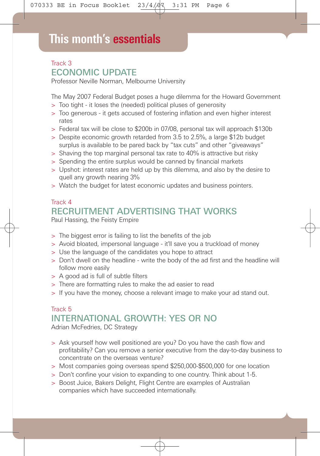## **This month's essentials**

### Track 3 ECONOMIC UPDATE

Professor Neville Norman, Melbourne University

The May 2007 Federal Budget poses a huge dilemma for the Howard Government

- > Too tight it loses the (needed) political pluses of generosity
- > Too generous it gets accused of fostering inflation and even higher interest rates
- > Federal tax will be close to \$200b in 07/08, personal tax will approach \$130b
- > Despite economic growth retarded from 3.5 to 2.5%, a large \$12b budget surplus is available to be pared back by "tax cuts" and other "giveaways"
- > Shaving the top marginal personal tax rate to 40% is attractive but risky
- > Spending the entire surplus would be canned by financial markets
- > Upshot: interest rates are held up by this dilemma, and also by the desire to quell any growth nearing 3%
- > Watch the budget for latest economic updates and business pointers.

#### Track 4

## RECRUITMENT ADVERTISING THAT WORKS

Paul Hassing, the Feisty Empire

- > The biggest error is failing to list the benefits of the job
- > Avoid bloated, impersonal language it'll save you a truckload of money
- > Use the language of the candidates you hope to attract
- > Don't dwell on the headline write the body of the ad first and the headline will follow more easily
- > A good ad is full of subtle filters
- > There are formatting rules to make the ad easier to read
- > If you have the money, choose a relevant image to make your ad stand out.

## Track 5 INTERNATIONAL GROWTH: YES OR NO

Adrian McFedries, DC Strategy

- > Ask yourself how well positioned are you? Do you have the cash flow and profitability? Can you remove a senior executive from the day-to-day business to concentrate on the overseas venture?
- > Most companies going overseas spend \$250,000-\$500,000 for one location
- > Don't confine your vision to expanding to one country. Think about 1-5.
- > Boost Juice, Bakers Delight, Flight Centre are examples of Australian companies which have succeeded internationally.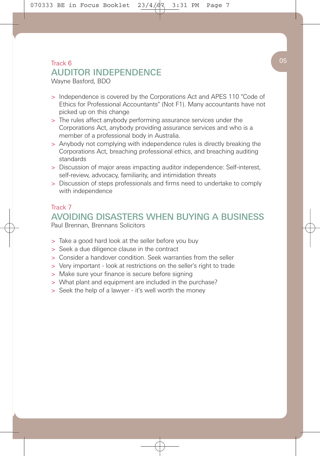## $\begin{array}{|c|c|c|c|}\n\hline\n\text{Track 6} & & \text{05} \\
\hline\n\end{array}$ AUDITOR INDEPENDENCE

Wayne Basford, BDO

- > Independence is covered by the Corporations Act and APES 110 "Code of Ethics for Professional Accountants" (Not F1). Many accountants have not picked up on this change
- > The rules affect anybody performing assurance services under the Corporations Act, anybody providing assurance services and who is a member of a professional body in Australia.
- > Anybody not complying with independence rules is directly breaking the Corporations Act, breaching professional ethics, and breaching auditing standards
- > Discussion of major areas impacting auditor independence: Self-interest, self-review, advocacy, familiarity, and intimidation threats
- > Discussion of steps professionals and firms need to undertake to comply with independence

#### Track 7

## AVOIDING DISASTERS WHEN BUYING A BUSINESS

Paul Brennan, Brennans Solicitors

- > Take a good hard look at the seller before you buy
- > Seek a due diligence clause in the contract
- > Consider a handover condition. Seek warranties from the seller
- > Very important look at restrictions on the seller's right to trade
- > Make sure your finance is secure before signing
- > What plant and equipment are included in the purchase?
- > Seek the help of a lawyer it's well worth the money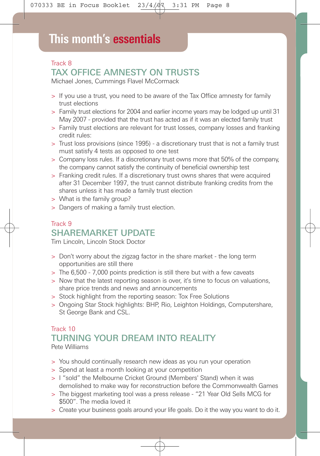## **This month's essentials**

### Track 8 TAX OFFICE AMNESTY ON TRUSTS

Michael Jones, Cummings Flavel McCormack

- > If you use a trust, you need to be aware of the Tax Office amnesty for family trust elections
- > Family trust elections for 2004 and earlier income years may be lodged up until 31 May 2007 - provided that the trust has acted as if it was an elected family trust
- > Family trust elections are relevant for trust losses, company losses and franking credit rules:
- > Trust loss provisions (since 1995) a discretionary trust that is not a family trust must satisfy 4 tests as opposed to one test
- > Company loss rules. If a discretionary trust owns more that 50% of the company, the company cannot satisfy the continuity of beneficial ownership test
- > Franking credit rules. If a discretionary trust owns shares that were acquired after 31 December 1997, the trust cannot distribute franking credits from the shares unless it has made a family trust election
- > What is the family group?
- > Dangers of making a family trust election.

#### Track 9 SHAREMARKET UPDATE

Tim Lincoln, Lincoln Stock Doctor

- > Don't worry about the zigzag factor in the share market the long term opportunities are still there
- > The 6,500 7,000 points prediction is still there but with a few caveats
- > Now that the latest reporting season is over, it's time to focus on valuations, share price trends and news and announcements
- > Stock highlight from the reporting season: Tox Free Solutions
- > Ongoing Star Stock highlights: BHP, Rio, Leighton Holdings, Computershare, St George Bank and CSL.

#### Track 10 TURNING YOUR DREAM INTO REALITY Pete Williams

- > You should continually research new ideas as you run your operation
- > Spend at least a month looking at your competition
- > I "sold" the Melbourne Cricket Ground (Members' Stand) when it was demolished to make way for reconstruction before the Commonwealth Games
- > The biggest marketing tool was a press release "21 Year Old Sells MCG for \$500". The media loved it
- > Create your business goals around your life goals. Do it the way you want to do it.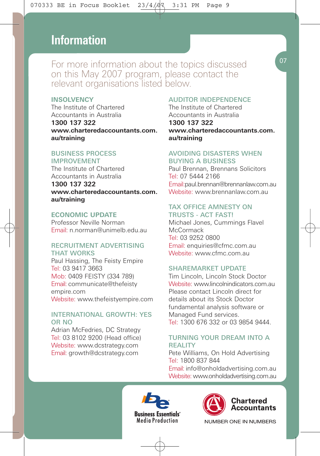## **This month's essentials Information**

For more information about the topics discussed on this May 2007 program, please contact the relevant organisations listed below.

#### **INSOLVENCY**

The Institute of Chartered Accountants in Australia **1300 137 322 www.charteredaccountants.com. au/training**

#### BUSINESS PROCESS IMPROVEMENT

The Institute of Chartered Accountants in Australia

#### **1300 137 322 www.charteredaccountants.com. au/training**

#### **ECONOMIC UPDATE**

Professor Neville Norman Email: n.norman@unimelb.edu.au

#### RECRUITMENT ADVERTISING THAT WORKS

Paul Hassing, The Feisty Empire Tel: 03 9417 3663 Mob: 0409 FEISTY (334 789) Email: communicate@thefeisty empire.com Website: www.thefeistyempire.com

#### INTERNATIONAL GROWTH: YES OR NO

Adrian McFedries, DC Strategy Tel: 03 8102 9200 (Head office) Website: www.dcstrategy.com Email: growth@dcstrategy.com

#### AUDITOR INDEPENDENCE

The Institute of Chartered Accountants in Australia **1300 137 322 www.charteredaccountants.com. au/training**

#### AVOIDING DISASTERS WHEN BUYING A BUSINESS

Paul Brennan, Brennans Solicitors Tel: 07 5444 2166 Email:paul.brennan@brennanlaw.com.au Website: www.brennanlaw.com.au

#### TAX OFFICE AMNESTY ON TRUSTS - ACT FAST!

Michael Jones, Cummings Flavel **McCormack** Tel: 03 9252 0800 Email: enquiries@cfmc.com.au Website: www.cfmc.com.au

#### SHAREMARKET UPDATE

Tim Lincoln, Lincoln Stock Doctor Website: www.lincolnindicators.com.au Please contact Lincoln direct for details about its Stock Doctor fundamental analysis software or Managed Fund services. Tel: 1300 676 332 or 03 9854 9444.

#### TURNING YOUR DREAM INTO A **REALITY**

Pete Williams, On Hold Advertising Tel: 1800 837 844

Email: info@onholdadvertising.com.au Website: www.onholdadvertising.com.au





NUMBER ONE IN NUMBERS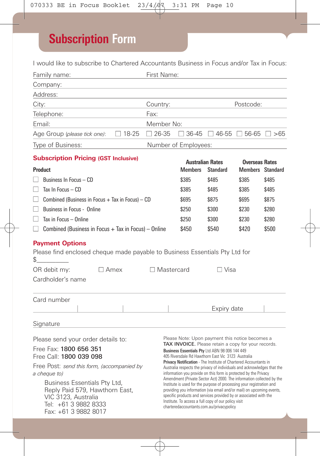## **Subscription Form**

I would like to subscribe to Chartered Accountants Business in Focus and/or Tax in Focus:

| Family name:                                                                                                                                                                                                                                                                                   |            | First Name:                                                                                                                                                                                                                                                                                                                                                                                                                                                                                                                                                                                                                                                                                                                                                                                                                            |                                           |                                                   |                                                  |       |  |
|------------------------------------------------------------------------------------------------------------------------------------------------------------------------------------------------------------------------------------------------------------------------------------------------|------------|----------------------------------------------------------------------------------------------------------------------------------------------------------------------------------------------------------------------------------------------------------------------------------------------------------------------------------------------------------------------------------------------------------------------------------------------------------------------------------------------------------------------------------------------------------------------------------------------------------------------------------------------------------------------------------------------------------------------------------------------------------------------------------------------------------------------------------------|-------------------------------------------|---------------------------------------------------|--------------------------------------------------|-------|--|
| Company:                                                                                                                                                                                                                                                                                       |            |                                                                                                                                                                                                                                                                                                                                                                                                                                                                                                                                                                                                                                                                                                                                                                                                                                        |                                           |                                                   |                                                  |       |  |
| Address:                                                                                                                                                                                                                                                                                       |            |                                                                                                                                                                                                                                                                                                                                                                                                                                                                                                                                                                                                                                                                                                                                                                                                                                        |                                           |                                                   |                                                  |       |  |
| City:                                                                                                                                                                                                                                                                                          |            | Country:                                                                                                                                                                                                                                                                                                                                                                                                                                                                                                                                                                                                                                                                                                                                                                                                                               |                                           |                                                   | Postcode:                                        |       |  |
| Telephone:                                                                                                                                                                                                                                                                                     |            | Fax:                                                                                                                                                                                                                                                                                                                                                                                                                                                                                                                                                                                                                                                                                                                                                                                                                                   |                                           |                                                   |                                                  |       |  |
| Email:                                                                                                                                                                                                                                                                                         | Member No: |                                                                                                                                                                                                                                                                                                                                                                                                                                                                                                                                                                                                                                                                                                                                                                                                                                        |                                           |                                                   |                                                  |       |  |
| $\Box$ 18-25<br>Age Group (please tick one):                                                                                                                                                                                                                                                   |            | $\Box$ 26-35                                                                                                                                                                                                                                                                                                                                                                                                                                                                                                                                                                                                                                                                                                                                                                                                                           |                                           | $\Box$ 36-45 $\Box$ 46-55 $\Box$ 56-65 $\Box$ >65 |                                                  |       |  |
| Type of Business:                                                                                                                                                                                                                                                                              |            |                                                                                                                                                                                                                                                                                                                                                                                                                                                                                                                                                                                                                                                                                                                                                                                                                                        | Number of Employees:                      |                                                   |                                                  |       |  |
| <b>Subscription Pricing (GST Inclusive)</b>                                                                                                                                                                                                                                                    |            |                                                                                                                                                                                                                                                                                                                                                                                                                                                                                                                                                                                                                                                                                                                                                                                                                                        |                                           |                                                   |                                                  |       |  |
| <b>Product</b>                                                                                                                                                                                                                                                                                 |            |                                                                                                                                                                                                                                                                                                                                                                                                                                                                                                                                                                                                                                                                                                                                                                                                                                        | <b>Australian Rates</b><br><b>Members</b> | <b>Standard</b>                                   | <b>Overseas Rates</b><br><b>Members</b> Standard |       |  |
| Business In Focus - CD                                                                                                                                                                                                                                                                         |            |                                                                                                                                                                                                                                                                                                                                                                                                                                                                                                                                                                                                                                                                                                                                                                                                                                        | \$385                                     | \$485                                             | \$385                                            | \$485 |  |
| Tax In Focus $-$ CD                                                                                                                                                                                                                                                                            | \$385      | \$485                                                                                                                                                                                                                                                                                                                                                                                                                                                                                                                                                                                                                                                                                                                                                                                                                                  | \$385                                     | \$485                                             |                                                  |       |  |
| Combined (Business in Focus $+$ Tax in Focus) $-$ CD                                                                                                                                                                                                                                           | \$695      | \$875                                                                                                                                                                                                                                                                                                                                                                                                                                                                                                                                                                                                                                                                                                                                                                                                                                  | \$695                                     | \$875                                             |                                                  |       |  |
| Business in Focus - Online<br>$\mathsf{L}$                                                                                                                                                                                                                                                     |            |                                                                                                                                                                                                                                                                                                                                                                                                                                                                                                                                                                                                                                                                                                                                                                                                                                        | \$250                                     | \$300                                             | \$230                                            | \$280 |  |
| Tax in Focus - Online                                                                                                                                                                                                                                                                          |            |                                                                                                                                                                                                                                                                                                                                                                                                                                                                                                                                                                                                                                                                                                                                                                                                                                        | \$250                                     | \$300                                             | \$230                                            | \$280 |  |
| $\Box$ Combined (Business in Focus + Tax in Focus) - Online                                                                                                                                                                                                                                    |            |                                                                                                                                                                                                                                                                                                                                                                                                                                                                                                                                                                                                                                                                                                                                                                                                                                        | \$450                                     | \$540                                             | \$420                                            | \$500 |  |
| <b>Payment Options</b><br>Please find enclosed cheque made payable to Business Essentials Pty Ltd for<br>\$<br>OR debit my:<br>$\Box$ Amex<br>Cardholder's name                                                                                                                                |            | □ Mastercard                                                                                                                                                                                                                                                                                                                                                                                                                                                                                                                                                                                                                                                                                                                                                                                                                           |                                           | $\Box$ Visa                                       |                                                  |       |  |
| Card number                                                                                                                                                                                                                                                                                    |            |                                                                                                                                                                                                                                                                                                                                                                                                                                                                                                                                                                                                                                                                                                                                                                                                                                        |                                           |                                                   |                                                  |       |  |
|                                                                                                                                                                                                                                                                                                |            |                                                                                                                                                                                                                                                                                                                                                                                                                                                                                                                                                                                                                                                                                                                                                                                                                                        |                                           | Expiry date                                       |                                                  |       |  |
| Signature                                                                                                                                                                                                                                                                                      |            |                                                                                                                                                                                                                                                                                                                                                                                                                                                                                                                                                                                                                                                                                                                                                                                                                                        |                                           |                                                   |                                                  |       |  |
| Please send your order details to:<br>Free Fax: 1800 656 351<br>Free Call: 1800 039 098<br>Free Post: send this form, (accompanied by<br>a cheque to)<br>Business Essentials Pty Ltd,<br>Reply Paid 579, Hawthorn East,<br>VIC 3123, Australia<br>Tel: +61 3 9882 8333<br>Fax: +61 3 9882 8017 |            | Please Note: Upon payment this notice becomes a<br>TAX INVOICE. Please retain a copy for your records.<br>Business Essentials Pty Ltd ABN 98 006 144 449<br>405 Riversdale Rd Hawthorn East Vic 3123 Australia<br>Privacy Notification - The Institute of Chartered Accountants in<br>Australia respects the privacy of individuals and acknowledges that the<br>information you provide on this form is protected by the Privacy<br>Amendment (Private Sector Act) 2000. The information collected by the<br>Institute is used for the purpose of processing your registration and<br>providing you information (via email and/or mail) on upcoming events,<br>specific products and services provided by or associated with the<br>Institute. To access a full copy of our policy visit<br>charteredaccountants.com.au/privacypolicy |                                           |                                                   |                                                  |       |  |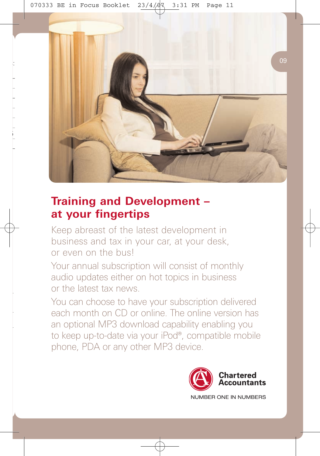

## **Training and Development – at your fingertips**

Keep abreast of the latest development in business and tax in your car, at your desk, or even on the bus!

Your annual subscription will consist of monthly audio updates either on hot topics in business or the latest tax news.

You can choose to have your subscription delivered each month on CD or online. The online version has an optional MP3 download capability enabling you to keep up-to-date via your iPod®, compatible mobile phone, PDA or any other MP3 device.

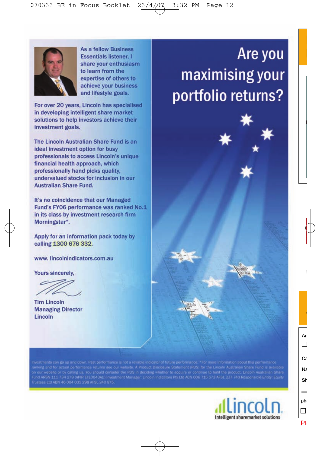

**As a fellow Business Essentials listener. I** share your enthusiasm to learn from the expertise of others to achieve your business and lifestyle goals.

For over 20 years, Lincoln has specialised in developing intelligent share market solutions to help investors achieve their investment goals.

The Lincoln Australian Share Fund is an ideal investment option for busy professionals to access Lincoln's unique financial health approach, which professionally hand picks quality, undervalued stocks for inclusion in our **Australian Share Fund.** 

It's no coincidence that our Managed Fund's FY06 performance was ranked No.1 in its class by investment research firm Morningstar\*.

Apply for an information pack today by calling 1300 676 332.

www.lincolnindicators.com.au

Yours sincerely.

**Tim Lincoln Managing Director** Lincoln

n our website or by calling us. You should consider the PDS in deciding whether to acquire or continue to hold the product. Lincoln Australian Share<br>und ARSN 111 734 279 (APIR ETLO043AU) Investment Manager: Lincoln Indicat



# Are you maximising your portfolio returns?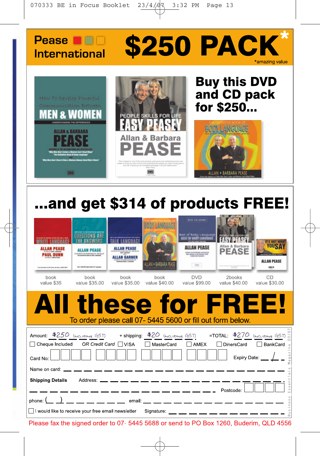



# ...and get \$314 of products FREE!

| <b>ALLAN PEASE</b><br><b>PAUL DUNN</b><br>book<br>value \$35 | <b>ALLAN PEASE</b><br>25 ALTHOUT THE MONAHINAL ME I BETWEEN<br>Sec 1,000,000 Square Section (Private age)<br>book<br>value \$35.00 | <b>ALLAN PEASE</b><br><b>ALLAN GARNER</b><br>book<br>value \$35.00 | LAN + BARBARA PEA<br>book<br>value \$40.00 | <b>TEE CLAMIC</b><br><b>Best of Body Language</b><br><b>SET OF ROOF LANGUAG</b><br><b>Michel and Michell Hills Inc.</b><br><b>MATALLA FROM AN</b><br>$-100$<br><b>DVD</b><br>value \$99.00 | Allan & Barbara<br><b>PEASE</b><br>2books<br>value \$40.00 | <b>IT'S NOT WHA</b><br>YOUST<br><b>ALLAN PEASE</b><br>494 01<br>CD<br>value \$30,00                                                                |
|--------------------------------------------------------------|------------------------------------------------------------------------------------------------------------------------------------|--------------------------------------------------------------------|--------------------------------------------|--------------------------------------------------------------------------------------------------------------------------------------------------------------------------------------------|------------------------------------------------------------|----------------------------------------------------------------------------------------------------------------------------------------------------|
| A III.                                                       |                                                                                                                                    |                                                                    |                                            | these for FREE!<br>To order please call 07- 5445 5600 or fill out form below.                                                                                                              |                                                            |                                                                                                                                                    |
| Card No:<br>Name on card: _                                  | □ Cheque Included OR Credit Card □ VISA                                                                                            |                                                                    | ◯ MasterCard                               | $\Box$ AMEX                                                                                                                                                                                | □ DinersCard                                               | Аmount: <u>\$250 (марияна GST)</u> + shipping: <u>\$20 (марияна GST)</u> = TOTAL: <u>\$270 (марияна GST) s</u><br>BankCard<br>agaz<br>Expiry Date: |
| <b>Shipping Details</b>                                      | I would like to receive your free email newsletter                                                                                 |                                                                    | Address: ___ __ __ __ __ __ __ __ __ __ __ | __________<br>phone: (_ _) __ __ __ __ __ __ email: __ __ __ __ __ __ __ __ __ __<br>Signature: __ __ __ __ __ __ __ __ __ __ __                                                           | Postcode:                                                  | σ<br>Essent<br>Business                                                                                                                            |

Please fax the signed order to 07-5445 5688 or send to PO Box 1260, Buderim, QLD 4556